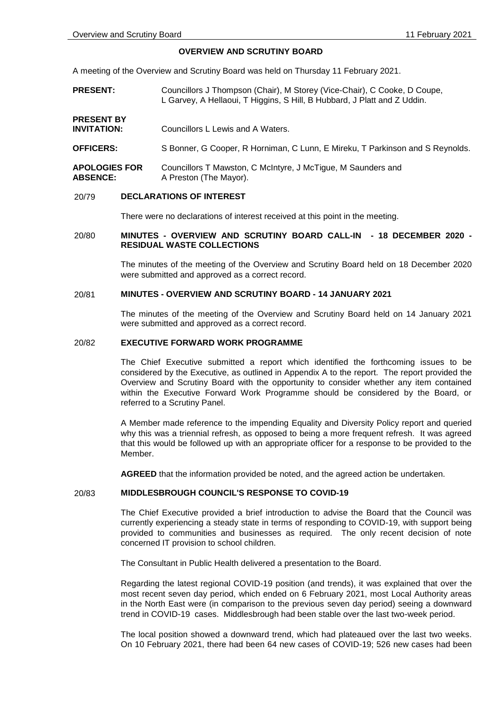**PRESENT BY** 

## **OVERVIEW AND SCRUTINY BOARD**

A meeting of the Overview and Scrutiny Board was held on Thursday 11 February 2021.

- **PRESENT:** Councillors J Thompson (Chair), M Storey (Vice-Chair), C Cooke, D Coupe, L Garvey, A Hellaoui, T Higgins, S Hill, B Hubbard, J Platt and Z Uddin.
- **INVITATION:** Councillors L Lewis and A Waters.
- **OFFICERS:** S Bonner, G Cooper, R Horniman, C Lunn, E Mireku, T Parkinson and S Reynolds.

#### **APOLOGIES FOR ABSENCE:** Councillors T Mawston, C McIntyre, J McTigue, M Saunders and A Preston (The Mayor).

#### 20/79 **DECLARATIONS OF INTEREST**

There were no declarations of interest received at this point in the meeting.

## 20/80 **MINUTES - OVERVIEW AND SCRUTINY BOARD CALL-IN - 18 DECEMBER 2020 - RESIDUAL WASTE COLLECTIONS**

The minutes of the meeting of the Overview and Scrutiny Board held on 18 December 2020 were submitted and approved as a correct record.

## 20/81 **MINUTES - OVERVIEW AND SCRUTINY BOARD - 14 JANUARY 2021**

The minutes of the meeting of the Overview and Scrutiny Board held on 14 January 2021 were submitted and approved as a correct record.

## 20/82 **EXECUTIVE FORWARD WORK PROGRAMME**

The Chief Executive submitted a report which identified the forthcoming issues to be considered by the Executive, as outlined in Appendix A to the report. The report provided the Overview and Scrutiny Board with the opportunity to consider whether any item contained within the Executive Forward Work Programme should be considered by the Board, or referred to a Scrutiny Panel.

A Member made reference to the impending Equality and Diversity Policy report and queried why this was a triennial refresh, as opposed to being a more frequent refresh. It was agreed that this would be followed up with an appropriate officer for a response to be provided to the Member.

**AGREED** that the information provided be noted, and the agreed action be undertaken.

#### 20/83 **MIDDLESBROUGH COUNCIL'S RESPONSE TO COVID-19**

The Chief Executive provided a brief introduction to advise the Board that the Council was currently experiencing a steady state in terms of responding to COVID-19, with support being provided to communities and businesses as required. The only recent decision of note concerned IT provision to school children.

The Consultant in Public Health delivered a presentation to the Board.

Regarding the latest regional COVID-19 position (and trends), it was explained that over the most recent seven day period, which ended on 6 February 2021, most Local Authority areas in the North East were (in comparison to the previous seven day period) seeing a downward trend in COVID-19 cases. Middlesbrough had been stable over the last two-week period.

The local position showed a downward trend, which had plateaued over the last two weeks. On 10 February 2021, there had been 64 new cases of COVID-19; 526 new cases had been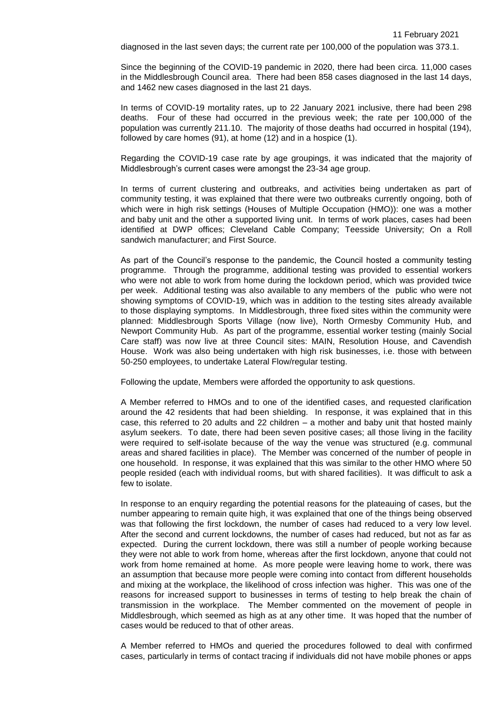diagnosed in the last seven days; the current rate per 100,000 of the population was 373.1.

Since the beginning of the COVID-19 pandemic in 2020, there had been circa. 11,000 cases in the Middlesbrough Council area. There had been 858 cases diagnosed in the last 14 days, and 1462 new cases diagnosed in the last 21 days.

In terms of COVID-19 mortality rates, up to 22 January 2021 inclusive, there had been 298 deaths. Four of these had occurred in the previous week; the rate per 100,000 of the population was currently 211.10. The majority of those deaths had occurred in hospital (194), followed by care homes (91), at home (12) and in a hospice (1).

Regarding the COVID-19 case rate by age groupings, it was indicated that the majority of Middlesbrough's current cases were amongst the 23-34 age group.

In terms of current clustering and outbreaks, and activities being undertaken as part of community testing, it was explained that there were two outbreaks currently ongoing, both of which were in high risk settings (Houses of Multiple Occupation (HMO)): one was a mother and baby unit and the other a supported living unit. In terms of work places, cases had been identified at DWP offices; Cleveland Cable Company; Teesside University; On a Roll sandwich manufacturer; and First Source.

As part of the Council's response to the pandemic, the Council hosted a community testing programme. Through the programme, additional testing was provided to essential workers who were not able to work from home during the lockdown period, which was provided twice per week. Additional testing was also available to any members of the public who were not showing symptoms of COVID-19, which was in addition to the testing sites already available to those displaying symptoms. In Middlesbrough, three fixed sites within the community were planned: Middlesbrough Sports Village (now live), North Ormesby Community Hub, and Newport Community Hub. As part of the programme, essential worker testing (mainly Social Care staff) was now live at three Council sites: MAIN, Resolution House, and Cavendish House. Work was also being undertaken with high risk businesses, i.e. those with between 50-250 employees, to undertake Lateral Flow/regular testing.

Following the update, Members were afforded the opportunity to ask questions.

A Member referred to HMOs and to one of the identified cases, and requested clarification around the 42 residents that had been shielding. In response, it was explained that in this case, this referred to 20 adults and 22 children – a mother and baby unit that hosted mainly asylum seekers. To date, there had been seven positive cases; all those living in the facility were required to self-isolate because of the way the venue was structured (e.g. communal areas and shared facilities in place). The Member was concerned of the number of people in one household. In response, it was explained that this was similar to the other HMO where 50 people resided (each with individual rooms, but with shared facilities). It was difficult to ask a few to isolate.

In response to an enquiry regarding the potential reasons for the plateauing of cases, but the number appearing to remain quite high, it was explained that one of the things being observed was that following the first lockdown, the number of cases had reduced to a very low level. After the second and current lockdowns, the number of cases had reduced, but not as far as expected. During the current lockdown, there was still a number of people working because they were not able to work from home, whereas after the first lockdown, anyone that could not work from home remained at home. As more people were leaving home to work, there was an assumption that because more people were coming into contact from different households and mixing at the workplace, the likelihood of cross infection was higher. This was one of the reasons for increased support to businesses in terms of testing to help break the chain of transmission in the workplace. The Member commented on the movement of people in Middlesbrough, which seemed as high as at any other time. It was hoped that the number of cases would be reduced to that of other areas.

A Member referred to HMOs and queried the procedures followed to deal with confirmed cases, particularly in terms of contact tracing if individuals did not have mobile phones or apps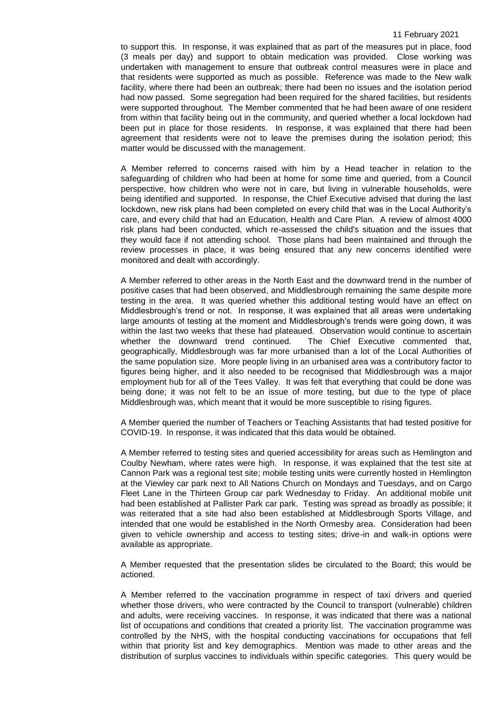to support this. In response, it was explained that as part of the measures put in place, food (3 meals per day) and support to obtain medication was provided. Close working was undertaken with management to ensure that outbreak control measures were in place and that residents were supported as much as possible. Reference was made to the New walk facility, where there had been an outbreak; there had been no issues and the isolation period had now passed. Some segregation had been required for the shared facilities, but residents were supported throughout. The Member commented that he had been aware of one resident from within that facility being out in the community, and queried whether a local lockdown had been put in place for those residents. In response, it was explained that there had been agreement that residents were not to leave the premises during the isolation period; this matter would be discussed with the management.

A Member referred to concerns raised with him by a Head teacher in relation to the safeguarding of children who had been at home for some time and queried, from a Council perspective, how children who were not in care, but living in vulnerable households, were being identified and supported. In response, the Chief Executive advised that during the last lockdown, new risk plans had been completed on every child that was in the Local Authority's care, and every child that had an Education, Health and Care Plan. A review of almost 4000 risk plans had been conducted, which re-assessed the child's situation and the issues that they would face if not attending school. Those plans had been maintained and through the review processes in place, it was being ensured that any new concerns identified were monitored and dealt with accordingly.

A Member referred to other areas in the North East and the downward trend in the number of positive cases that had been observed, and Middlesbrough remaining the same despite more testing in the area. It was queried whether this additional testing would have an effect on Middlesbrough's trend or not. In response, it was explained that all areas were undertaking large amounts of testing at the moment and Middlesbrough's trends were going down, it was within the last two weeks that these had plateaued. Observation would continue to ascertain whether the downward trend continued. The Chief Executive commented that, geographically, Middlesbrough was far more urbanised than a lot of the Local Authorities of the same population size. More people living in an urbanised area was a contributory factor to figures being higher, and it also needed to be recognised that Middlesbrough was a major employment hub for all of the Tees Valley. It was felt that everything that could be done was being done; it was not felt to be an issue of more testing, but due to the type of place Middlesbrough was, which meant that it would be more susceptible to rising figures.

A Member queried the number of Teachers or Teaching Assistants that had tested positive for COVID-19. In response, it was indicated that this data would be obtained.

A Member referred to testing sites and queried accessibility for areas such as Hemlington and Coulby Newham, where rates were high. In response, it was explained that the test site at Cannon Park was a regional test site; mobile testing units were currently hosted in Hemlington at the Viewley car park next to All Nations Church on Mondays and Tuesdays, and on Cargo Fleet Lane in the Thirteen Group car park Wednesday to Friday. An additional mobile unit had been established at Pallister Park car park. Testing was spread as broadly as possible; it was reiterated that a site had also been established at Middlesbrough Sports Village, and intended that one would be established in the North Ormesby area. Consideration had been given to vehicle ownership and access to testing sites; drive-in and walk-in options were available as appropriate.

A Member requested that the presentation slides be circulated to the Board; this would be actioned.

A Member referred to the vaccination programme in respect of taxi drivers and queried whether those drivers, who were contracted by the Council to transport (vulnerable) children and adults, were receiving vaccines. In response, it was indicated that there was a national list of occupations and conditions that created a priority list. The vaccination programme was controlled by the NHS, with the hospital conducting vaccinations for occupations that fell within that priority list and key demographics. Mention was made to other areas and the distribution of surplus vaccines to individuals within specific categories. This query would be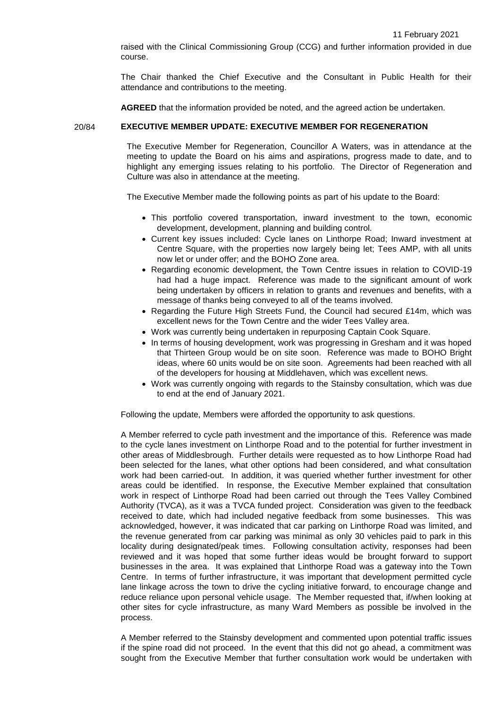raised with the Clinical Commissioning Group (CCG) and further information provided in due course.

The Chair thanked the Chief Executive and the Consultant in Public Health for their attendance and contributions to the meeting.

**AGREED** that the information provided be noted, and the agreed action be undertaken.

#### 20/84 **EXECUTIVE MEMBER UPDATE: EXECUTIVE MEMBER FOR REGENERATION**

The Executive Member for Regeneration, Councillor A Waters, was in attendance at the meeting to update the Board on his aims and aspirations, progress made to date, and to highlight any emerging issues relating to his portfolio. The Director of Regeneration and Culture was also in attendance at the meeting.

The Executive Member made the following points as part of his update to the Board:

- This portfolio covered transportation, inward investment to the town, economic development, development, planning and building control.
- Current key issues included: Cycle lanes on Linthorpe Road; Inward investment at Centre Square, with the properties now largely being let; Tees AMP, with all units now let or under offer; and the BOHO Zone area.
- Regarding economic development, the Town Centre issues in relation to COVID-19 had had a huge impact. Reference was made to the significant amount of work being undertaken by officers in relation to grants and revenues and benefits, with a message of thanks being conveyed to all of the teams involved.
- Regarding the Future High Streets Fund, the Council had secured £14m, which was excellent news for the Town Centre and the wider Tees Valley area.
- Work was currently being undertaken in repurposing Captain Cook Square.
- In terms of housing development, work was progressing in Gresham and it was hoped that Thirteen Group would be on site soon. Reference was made to BOHO Bright ideas, where 60 units would be on site soon. Agreements had been reached with all of the developers for housing at Middlehaven, which was excellent news.
- Work was currently ongoing with regards to the Stainsby consultation, which was due to end at the end of January 2021.

Following the update, Members were afforded the opportunity to ask questions.

A Member referred to cycle path investment and the importance of this. Reference was made to the cycle lanes investment on Linthorpe Road and to the potential for further investment in other areas of Middlesbrough. Further details were requested as to how Linthorpe Road had been selected for the lanes, what other options had been considered, and what consultation work had been carried-out. In addition, it was queried whether further investment for other areas could be identified. In response, the Executive Member explained that consultation work in respect of Linthorpe Road had been carried out through the Tees Valley Combined Authority (TVCA), as it was a TVCA funded project. Consideration was given to the feedback received to date, which had included negative feedback from some businesses. This was acknowledged, however, it was indicated that car parking on Linthorpe Road was limited, and the revenue generated from car parking was minimal as only 30 vehicles paid to park in this locality during designated/peak times. Following consultation activity, responses had been reviewed and it was hoped that some further ideas would be brought forward to support businesses in the area. It was explained that Linthorpe Road was a gateway into the Town Centre. In terms of further infrastructure, it was important that development permitted cycle lane linkage across the town to drive the cycling initiative forward, to encourage change and reduce reliance upon personal vehicle usage. The Member requested that, if/when looking at other sites for cycle infrastructure, as many Ward Members as possible be involved in the process.

A Member referred to the Stainsby development and commented upon potential traffic issues if the spine road did not proceed. In the event that this did not go ahead, a commitment was sought from the Executive Member that further consultation work would be undertaken with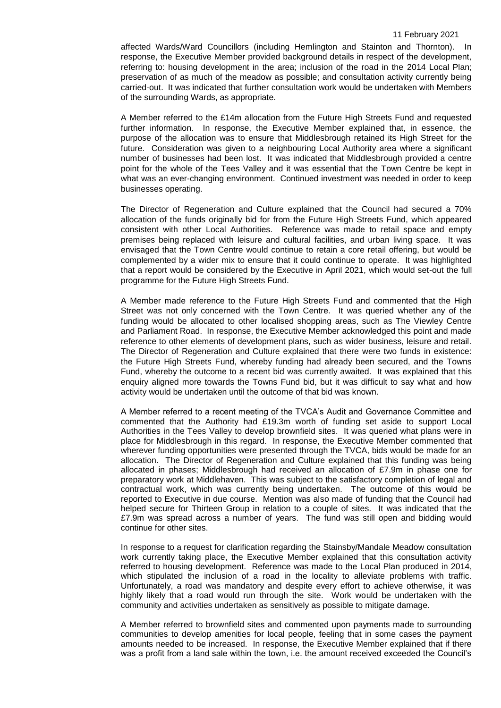affected Wards/Ward Councillors (including Hemlington and Stainton and Thornton). In response, the Executive Member provided background details in respect of the development, referring to: housing development in the area; inclusion of the road in the 2014 Local Plan; preservation of as much of the meadow as possible; and consultation activity currently being carried-out. It was indicated that further consultation work would be undertaken with Members of the surrounding Wards, as appropriate.

A Member referred to the £14m allocation from the Future High Streets Fund and requested further information. In response, the Executive Member explained that, in essence, the purpose of the allocation was to ensure that Middlesbrough retained its High Street for the future. Consideration was given to a neighbouring Local Authority area where a significant number of businesses had been lost. It was indicated that Middlesbrough provided a centre point for the whole of the Tees Valley and it was essential that the Town Centre be kept in what was an ever-changing environment. Continued investment was needed in order to keep businesses operating.

The Director of Regeneration and Culture explained that the Council had secured a 70% allocation of the funds originally bid for from the Future High Streets Fund, which appeared consistent with other Local Authorities. Reference was made to retail space and empty premises being replaced with leisure and cultural facilities, and urban living space. It was envisaged that the Town Centre would continue to retain a core retail offering, but would be complemented by a wider mix to ensure that it could continue to operate. It was highlighted that a report would be considered by the Executive in April 2021, which would set-out the full programme for the Future High Streets Fund.

A Member made reference to the Future High Streets Fund and commented that the High Street was not only concerned with the Town Centre. It was queried whether any of the funding would be allocated to other localised shopping areas, such as The Viewley Centre and Parliament Road. In response, the Executive Member acknowledged this point and made reference to other elements of development plans, such as wider business, leisure and retail. The Director of Regeneration and Culture explained that there were two funds in existence: the Future High Streets Fund, whereby funding had already been secured, and the Towns Fund, whereby the outcome to a recent bid was currently awaited. It was explained that this enquiry aligned more towards the Towns Fund bid, but it was difficult to say what and how activity would be undertaken until the outcome of that bid was known.

A Member referred to a recent meeting of the TVCA's Audit and Governance Committee and commented that the Authority had £19.3m worth of funding set aside to support Local Authorities in the Tees Valley to develop brownfield sites. It was queried what plans were in place for Middlesbrough in this regard. In response, the Executive Member commented that wherever funding opportunities were presented through the TVCA, bids would be made for an allocation. The Director of Regeneration and Culture explained that this funding was being allocated in phases; Middlesbrough had received an allocation of £7.9m in phase one for preparatory work at Middlehaven. This was subject to the satisfactory completion of legal and contractual work, which was currently being undertaken. The outcome of this would be reported to Executive in due course. Mention was also made of funding that the Council had helped secure for Thirteen Group in relation to a couple of sites. It was indicated that the £7.9m was spread across a number of years. The fund was still open and bidding would continue for other sites.

In response to a request for clarification regarding the Stainsby/Mandale Meadow consultation work currently taking place, the Executive Member explained that this consultation activity referred to housing development. Reference was made to the Local Plan produced in 2014, which stipulated the inclusion of a road in the locality to alleviate problems with traffic. Unfortunately, a road was mandatory and despite every effort to achieve otherwise, it was highly likely that a road would run through the site. Work would be undertaken with the community and activities undertaken as sensitively as possible to mitigate damage.

A Member referred to brownfield sites and commented upon payments made to surrounding communities to develop amenities for local people, feeling that in some cases the payment amounts needed to be increased. In response, the Executive Member explained that if there was a profit from a land sale within the town, i.e. the amount received exceeded the Council's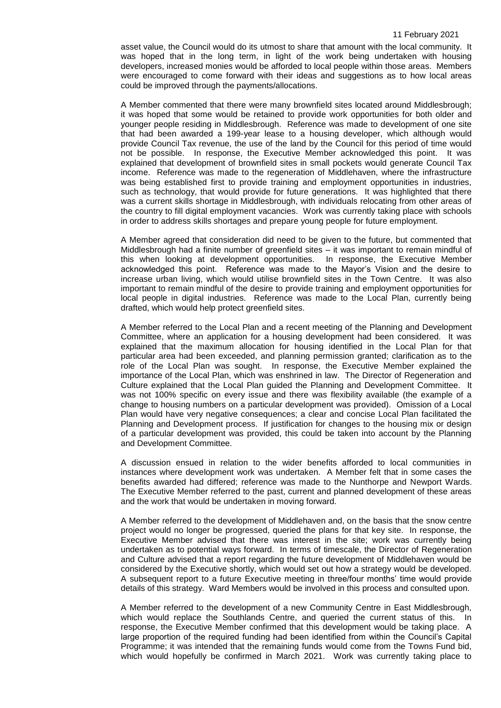asset value, the Council would do its utmost to share that amount with the local community. It was hoped that in the long term, in light of the work being undertaken with housing developers, increased monies would be afforded to local people within those areas. Members were encouraged to come forward with their ideas and suggestions as to how local areas could be improved through the payments/allocations.

A Member commented that there were many brownfield sites located around Middlesbrough; it was hoped that some would be retained to provide work opportunities for both older and younger people residing in Middlesbrough. Reference was made to development of one site that had been awarded a 199-year lease to a housing developer, which although would provide Council Tax revenue, the use of the land by the Council for this period of time would not be possible. In response, the Executive Member acknowledged this point. It was explained that development of brownfield sites in small pockets would generate Council Tax income. Reference was made to the regeneration of Middlehaven, where the infrastructure was being established first to provide training and employment opportunities in industries, such as technology, that would provide for future generations. It was highlighted that there was a current skills shortage in Middlesbrough, with individuals relocating from other areas of the country to fill digital employment vacancies. Work was currently taking place with schools in order to address skills shortages and prepare young people for future employment.

A Member agreed that consideration did need to be given to the future, but commented that Middlesbrough had a finite number of greenfield sites – it was important to remain mindful of this when looking at development opportunities. In response, the Executive Member acknowledged this point. Reference was made to the Mayor's Vision and the desire to increase urban living, which would utilise brownfield sites in the Town Centre. It was also important to remain mindful of the desire to provide training and employment opportunities for local people in digital industries. Reference was made to the Local Plan, currently being drafted, which would help protect greenfield sites.

A Member referred to the Local Plan and a recent meeting of the Planning and Development Committee, where an application for a housing development had been considered. It was explained that the maximum allocation for housing identified in the Local Plan for that particular area had been exceeded, and planning permission granted; clarification as to the role of the Local Plan was sought. In response, the Executive Member explained the importance of the Local Plan, which was enshrined in law. The Director of Regeneration and Culture explained that the Local Plan guided the Planning and Development Committee. It was not 100% specific on every issue and there was flexibility available (the example of a change to housing numbers on a particular development was provided). Omission of a Local Plan would have very negative consequences; a clear and concise Local Plan facilitated the Planning and Development process. If justification for changes to the housing mix or design of a particular development was provided, this could be taken into account by the Planning and Development Committee.

A discussion ensued in relation to the wider benefits afforded to local communities in instances where development work was undertaken. A Member felt that in some cases the benefits awarded had differed; reference was made to the Nunthorpe and Newport Wards. The Executive Member referred to the past, current and planned development of these areas and the work that would be undertaken in moving forward.

A Member referred to the development of Middlehaven and, on the basis that the snow centre project would no longer be progressed, queried the plans for that key site. In response, the Executive Member advised that there was interest in the site; work was currently being undertaken as to potential ways forward. In terms of timescale, the Director of Regeneration and Culture advised that a report regarding the future development of Middlehaven would be considered by the Executive shortly, which would set out how a strategy would be developed. A subsequent report to a future Executive meeting in three/four months' time would provide details of this strategy. Ward Members would be involved in this process and consulted upon.

A Member referred to the development of a new Community Centre in East Middlesbrough, which would replace the Southlands Centre, and queried the current status of this. In response, the Executive Member confirmed that this development would be taking place. A large proportion of the required funding had been identified from within the Council's Capital Programme; it was intended that the remaining funds would come from the Towns Fund bid, which would hopefully be confirmed in March 2021. Work was currently taking place to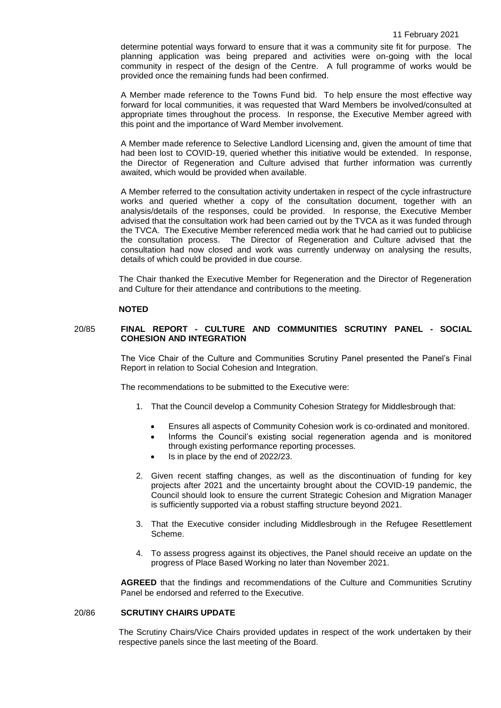determine potential ways forward to ensure that it was a community site fit for purpose. The planning application was being prepared and activities were on-going with the local community in respect of the design of the Centre. A full programme of works would be provided once the remaining funds had been confirmed.

A Member made reference to the Towns Fund bid. To help ensure the most effective way forward for local communities, it was requested that Ward Members be involved/consulted at appropriate times throughout the process. In response, the Executive Member agreed with this point and the importance of Ward Member involvement.

A Member made reference to Selective Landlord Licensing and, given the amount of time that had been lost to COVID-19, queried whether this initiative would be extended. In response, the Director of Regeneration and Culture advised that further information was currently awaited, which would be provided when available.

A Member referred to the consultation activity undertaken in respect of the cycle infrastructure works and queried whether a copy of the consultation document, together with an analysis/details of the responses, could be provided. In response, the Executive Member advised that the consultation work had been carried out by the TVCA as it was funded through the TVCA. The Executive Member referenced media work that he had carried out to publicise the consultation process. The Director of Regeneration and Culture advised that the consultation had now closed and work was currently underway on analysing the results, details of which could be provided in due course.

The Chair thanked the Executive Member for Regeneration and the Director of Regeneration and Culture for their attendance and contributions to the meeting.

## **NOTED**

# 20/85 **FINAL REPORT - CULTURE AND COMMUNITIES SCRUTINY PANEL - SOCIAL COHESION AND INTEGRATION**

The Vice Chair of the Culture and Communities Scrutiny Panel presented the Panel's Final Report in relation to Social Cohesion and Integration.

The recommendations to be submitted to the Executive were:

- 1. That the Council develop a Community Cohesion Strategy for Middlesbrough that:
	- Ensures all aspects of Community Cohesion work is co-ordinated and monitored.
	- Informs the Council's existing social regeneration agenda and is monitored through existing performance reporting processes.
	- Is in place by the end of 2022/23.
- 2. Given recent staffing changes, as well as the discontinuation of funding for key projects after 2021 and the uncertainty brought about the COVID-19 pandemic, the Council should look to ensure the current Strategic Cohesion and Migration Manager is sufficiently supported via a robust staffing structure beyond 2021.
- 3. That the Executive consider including Middlesbrough in the Refugee Resettlement Scheme.
- 4. To assess progress against its objectives, the Panel should receive an update on the progress of Place Based Working no later than November 2021.

**AGREED** that the findings and recommendations of the Culture and Communities Scrutiny Panel be endorsed and referred to the Executive.

# 20/86 **SCRUTINY CHAIRS UPDATE**

The Scrutiny Chairs/Vice Chairs provided updates in respect of the work undertaken by their respective panels since the last meeting of the Board.